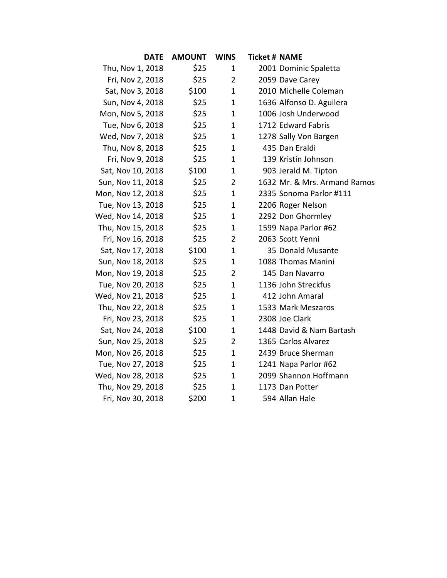| <b>DATE</b>       | <b>AMOUNT</b> | <b>WINS</b>    | <b>Ticket # NAME</b> |                              |
|-------------------|---------------|----------------|----------------------|------------------------------|
| Thu, Nov 1, 2018  | \$25          | $\mathbf{1}$   |                      | 2001 Dominic Spaletta        |
| Fri, Nov 2, 2018  | \$25          | $\overline{2}$ |                      | 2059 Dave Carey              |
| Sat, Nov 3, 2018  | \$100         | $\mathbf{1}$   |                      | 2010 Michelle Coleman        |
| Sun, Nov 4, 2018  | \$25          | $\mathbf{1}$   |                      | 1636 Alfonso D. Aguilera     |
| Mon, Nov 5, 2018  | \$25          | $\mathbf{1}$   |                      | 1006 Josh Underwood          |
| Tue, Nov 6, 2018  | \$25          | $\mathbf{1}$   |                      | 1712 Edward Fabris           |
| Wed, Nov 7, 2018  | \$25          | $\mathbf{1}$   |                      | 1278 Sally Von Bargen        |
| Thu, Nov 8, 2018  | \$25          | $\mathbf{1}$   |                      | 435 Dan Eraldi               |
| Fri, Nov 9, 2018  | \$25          | $\mathbf{1}$   |                      | 139 Kristin Johnson          |
| Sat, Nov 10, 2018 | \$100         | $\mathbf{1}$   |                      | 903 Jerald M. Tipton         |
| Sun, Nov 11, 2018 | \$25          | $\overline{2}$ |                      | 1632 Mr. & Mrs. Armand Ramos |
| Mon, Nov 12, 2018 | \$25          | $\mathbf{1}$   |                      | 2335 Sonoma Parlor #111      |
| Tue, Nov 13, 2018 | \$25          | $\mathbf 1$    |                      | 2206 Roger Nelson            |
| Wed, Nov 14, 2018 | \$25          | 1              |                      | 2292 Don Ghormley            |
| Thu, Nov 15, 2018 | \$25          | $\mathbf{1}$   |                      | 1599 Napa Parlor #62         |
| Fri, Nov 16, 2018 | \$25          | $\overline{2}$ |                      | 2063 Scott Yenni             |
| Sat, Nov 17, 2018 | \$100         | $\mathbf{1}$   |                      | 35 Donald Musante            |
| Sun, Nov 18, 2018 | \$25          | $\mathbf{1}$   |                      | 1088 Thomas Manini           |
| Mon, Nov 19, 2018 | \$25          | $\overline{2}$ |                      | 145 Dan Navarro              |
| Tue, Nov 20, 2018 | \$25          | $\mathbf{1}$   |                      | 1136 John Streckfus          |
| Wed, Nov 21, 2018 | \$25          | $\mathbf{1}$   |                      | 412 John Amaral              |
| Thu, Nov 22, 2018 | \$25          | $\mathbf{1}$   |                      | 1533 Mark Meszaros           |
| Fri, Nov 23, 2018 | \$25          | $\mathbf 1$    |                      | 2308 Joe Clark               |
| Sat, Nov 24, 2018 | \$100         | $\mathbf 1$    |                      | 1448 David & Nam Bartash     |
| Sun, Nov 25, 2018 | \$25          | $\overline{2}$ |                      | 1365 Carlos Alvarez          |
| Mon, Nov 26, 2018 | \$25          | $\mathbf 1$    |                      | 2439 Bruce Sherman           |
| Tue, Nov 27, 2018 | \$25          | $\mathbf{1}$   |                      | 1241 Napa Parlor #62         |
| Wed, Nov 28, 2018 | \$25          | $\mathbf 1$    |                      | 2099 Shannon Hoffmann        |
| Thu, Nov 29, 2018 | \$25          | $\mathbf{1}$   |                      | 1173 Dan Potter              |
| Fri, Nov 30, 2018 | \$200         | $\mathbf{1}$   |                      | 594 Allan Hale               |